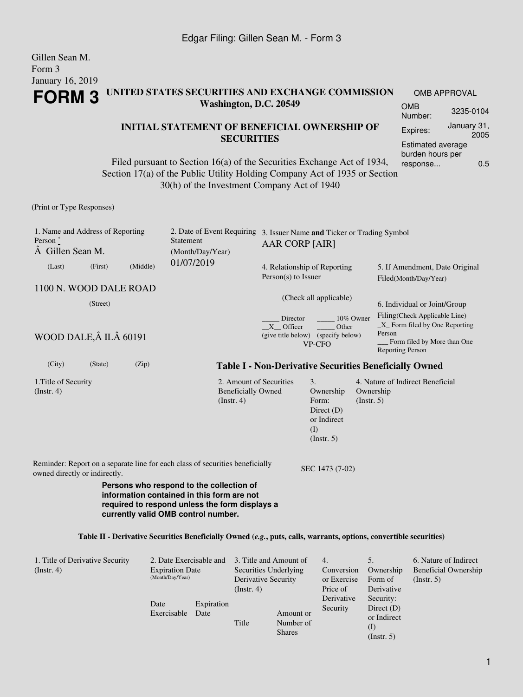Gillen Sean M.

| Form 3<br><b>January 16, 2019</b>                                  |                        |          |                                                                                                                                                                                                      |                                               |                                                                        |                                                                                    |                                                                       |                                                                                                                              |                                                      |  |
|--------------------------------------------------------------------|------------------------|----------|------------------------------------------------------------------------------------------------------------------------------------------------------------------------------------------------------|-----------------------------------------------|------------------------------------------------------------------------|------------------------------------------------------------------------------------|-----------------------------------------------------------------------|------------------------------------------------------------------------------------------------------------------------------|------------------------------------------------------|--|
| UNITED STATES SECURITIES AND EXCHANGE COMMISSION<br><b>FORM 3</b>  |                        |          |                                                                                                                                                                                                      |                                               |                                                                        |                                                                                    |                                                                       | <b>OMB APPROVAL</b>                                                                                                          |                                                      |  |
|                                                                    | Washington, D.C. 20549 |          |                                                                                                                                                                                                      |                                               |                                                                        |                                                                                    | <b>OMB</b><br>Number:                                                 | 3235-0104                                                                                                                    |                                                      |  |
|                                                                    |                        |          | <b>INITIAL STATEMENT OF BENEFICIAL OWNERSHIP OF</b>                                                                                                                                                  |                                               |                                                                        |                                                                                    |                                                                       | Expires:                                                                                                                     | January 31,                                          |  |
| <b>SECURITIES</b>                                                  |                        |          |                                                                                                                                                                                                      |                                               |                                                                        |                                                                                    |                                                                       |                                                                                                                              | 2005<br><b>Estimated average</b><br>burden hours per |  |
|                                                                    |                        |          | Filed pursuant to Section 16(a) of the Securities Exchange Act of 1934,<br>Section 17(a) of the Public Utility Holding Company Act of 1935 or Section<br>30(h) of the Investment Company Act of 1940 |                                               |                                                                        |                                                                                    |                                                                       | response                                                                                                                     | 0.5                                                  |  |
| (Print or Type Responses)                                          |                        |          |                                                                                                                                                                                                      |                                               |                                                                        |                                                                                    |                                                                       |                                                                                                                              |                                                      |  |
| 1. Name and Address of Reporting<br>Person $*$<br>A Gillen Sean M. |                        |          | 2. Date of Event Requiring<br>Statement<br>(Month/Day/Year)                                                                                                                                          |                                               | 3. Issuer Name and Ticker or Trading Symbol<br>AAR CORP [AIR]          |                                                                                    |                                                                       |                                                                                                                              |                                                      |  |
| (Last)                                                             | (First)                | (Middle) | 01/07/2019                                                                                                                                                                                           |                                               | 4. Relationship of Reporting<br>Person(s) to Issuer                    |                                                                                    |                                                                       | 5. If Amendment, Date Original<br>Filed(Month/Day/Year)                                                                      |                                                      |  |
| 1100 N. WOOD DALE ROAD                                             |                        |          |                                                                                                                                                                                                      |                                               |                                                                        |                                                                                    |                                                                       |                                                                                                                              |                                                      |  |
| (Street)                                                           |                        |          |                                                                                                                                                                                                      |                                               | (Check all applicable)                                                 |                                                                                    |                                                                       | 6. Individual or Joint/Group                                                                                                 |                                                      |  |
| WOOD DALE, Â ILÂ 60191                                             |                        |          |                                                                                                                                                                                                      |                                               | Director<br>X Officer                                                  | 10% Owner<br>Other<br>(give title below) (specify below)<br>VP-CFO                 | Person                                                                | Filing(Check Applicable Line)<br>$\_X$ Form filed by One Reporting<br>Form filed by More than One<br><b>Reporting Person</b> |                                                      |  |
| (City)                                                             | (State)                | (Zip)    |                                                                                                                                                                                                      |                                               | <b>Table I - Non-Derivative Securities Beneficially Owned</b>          |                                                                                    |                                                                       |                                                                                                                              |                                                      |  |
| 1. Title of Security<br>$($ Instr. 4 $)$                           |                        |          |                                                                                                                                                                                                      | <b>Beneficially Owned</b><br>$($ Instr. 4 $)$ | 2. Amount of Securities                                                | 3.<br>Ownership<br>Form:<br>Direct $(D)$<br>or Indirect<br>(I)<br>$($ Instr. 5 $)$ | Ownership<br>(Insert. 5)                                              | 4. Nature of Indirect Beneficial                                                                                             |                                                      |  |
| owned directly or indirectly.                                      |                        |          | Reminder: Report on a separate line for each class of securities beneficially                                                                                                                        |                                               |                                                                        | SEC 1473 (7-02)                                                                    |                                                                       |                                                                                                                              |                                                      |  |
|                                                                    |                        |          | Persons who respond to the collection of<br>information contained in this form are not<br>required to respond unless the form displays a<br>currently valid OMB control number.                      |                                               |                                                                        |                                                                                    |                                                                       |                                                                                                                              |                                                      |  |
|                                                                    |                        |          | Table II - Derivative Securities Beneficially Owned (e.g., puts, calls, warrants, options, convertible securities)                                                                                   |                                               |                                                                        |                                                                                    |                                                                       |                                                                                                                              |                                                      |  |
| 1. Title of Derivative Security<br>(Instr. 4)                      |                        | Date     | 2. Date Exercisable and<br><b>Expiration Date</b><br>(Month/Day/Year)<br>Expiration                                                                                                                  | $($ Instr. 4 $)$                              | 3. Title and Amount of<br>Securities Underlying<br>Derivative Security | 4.<br>Conversion<br>or Exercise<br>Price of<br>Derivative<br>Security              | 5.<br>Ownership<br>Form of<br>Derivative<br>Security:<br>Direct $(D)$ | (Insert. 5)                                                                                                                  | 6. Nature of Indirect<br><b>Beneficial Ownership</b> |  |

Exercisable

Date

Title

Amount or Number of Shares

or Indirect (I) (Instr. 5)